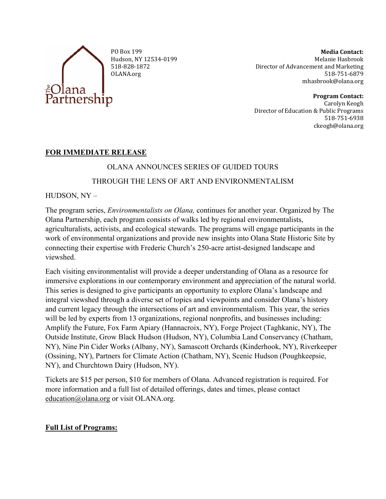

PO Box 199 Hudson, NY 12534-0199 518-828-1872 OLANA.org

**Media Contact:** Melanie Hasbrook Director of Advancement and Marketing 518-751-6879 [mhasbrook@olana.org](mailto:mhasbrook@olana.org)

**Program Contact:** Carolyn Keogh Director of Education & Public Programs 518-751-6938 ckeogh@olana.org

## **FOR IMMEDIATE RELEASE**

## OLANA ANNOUNCES SERIES OF GUIDED TOURS

## THROUGH THE LENS OF ART AND ENVIRONMENTALISM

HUDSON, NY –

The program series, *Environmentalists on Olana,* continues for another year. Organized by The Olana Partnership, each program consists of walks led by regional environmentalists, agriculturalists, activists, and ecological stewards. The programs will engage participants in the work of environmental organizations and provide new insights into Olana State Historic Site by connecting their expertise with Frederic Church's 250-acre artist-designed landscape and viewshed.

Each visiting environmentalist will provide a deeper understanding of Olana as a resource for immersive explorations in our contemporary environment and appreciation of the natural world. This series is designed to give participants an opportunity to explore Olana's landscape and integral viewshed through a diverse set of topics and viewpoints and consider Olana's history and current legacy through the intersections of art and environmentalism. This year, the series will be led by experts from 13 organizations, regional nonprofits, and businesses including: Amplify the Future, Fox Farm Apiary (Hannacroix, NY), Forge Project (Taghkanic, NY), The Outside Institute, Grow Black Hudson (Hudson, NY), Columbia Land Conservancy (Chatham, NY), Nine Pin Cider Works (Albany, NY), Samascott Orchards (Kinderhook, NY), Riverkeeper (Ossining, NY), Partners for Climate Action (Chatham, NY), Scenic Hudson (Poughkeepsie, NY), and Churchtown Dairy (Hudson, NY).

Tickets are \$15 per person, \$10 for members of Olana. Advanced registration is required. For more information and a full list of detailed offerings, dates and times, please contact [education@olana.org](mailto:education@olana.org) or visit OLANA.org.

# **Full List of Programs:**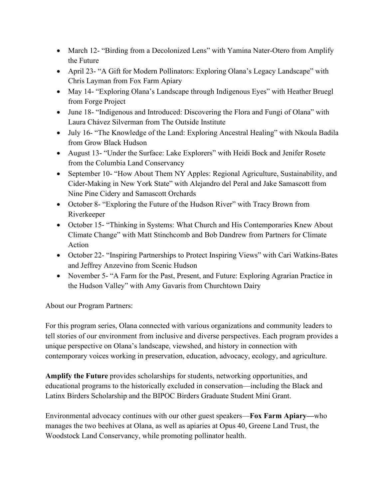- March 12- "Birding from a Decolonized Lens" with Yamina Nater-Otero from Amplify the Future
- April 23- "A Gift for Modern Pollinators: Exploring Olana's Legacy Landscape" with Chris Layman from Fox Farm Apiary
- May 14- "Exploring Olana's Landscape through Indigenous Eyes" with Heather Bruegl from Forge Project
- June 18- "Indigenous and Introduced: Discovering the Flora and Fungi of Olana" with Laura Chávez Silverman from The Outside Institute
- July 16- "The Knowledge of the Land: Exploring Ancestral Healing" with Nkoula Badila from Grow Black Hudson
- August 13- "Under the Surface: Lake Explorers" with Heidi Bock and Jenifer Rosete from the Columbia Land Conservancy
- September 10- "How About Them NY Apples: Regional Agriculture, Sustainability, and Cider-Making in New York State" with Alejandro del Peral and Jake Samascott from Nine Pine Cidery and Samascott Orchards
- October 8- "Exploring the Future of the Hudson River" with Tracy Brown from Riverkeeper
- October 15- "Thinking in Systems: What Church and His Contemporaries Knew About Climate Change" with Matt Stinchcomb and Bob Dandrew from Partners for Climate Action
- October 22- "Inspiring Partnerships to Protect Inspiring Views" with Cari Watkins-Bates and Jeffrey Anzevino from Scenic Hudson
- November 5- "A Farm for the Past, Present, and Future: Exploring Agrarian Practice in the Hudson Valley" with Amy Gavaris from Churchtown Dairy

About our Program Partners:

For this program series, Olana connected with various organizations and community leaders to tell stories of our environment from inclusive and diverse perspectives. Each program provides a unique perspective on Olana's landscape, viewshed, and history in connection with contemporary voices working in preservation, education, advocacy, ecology, and agriculture.

**Amplify the Future** provides scholarships for students, networking opportunities, and educational programs to the historically excluded in conservation—including the Black and Latinx Birders Scholarship and the BIPOC Birders Graduate Student Mini Grant.

Environmental advocacy continues with our other guest speakers—**Fox Farm Apiary—**who manages the two beehives at Olana, as well as apiaries at Opus 40, Greene Land Trust, the Woodstock Land Conservancy, while promoting pollinator health.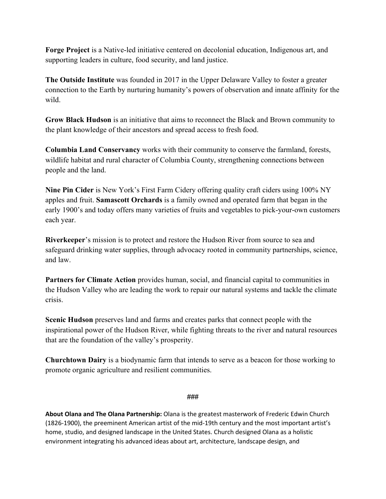**Forge Project** is a Native-led initiative centered on decolonial education, Indigenous art, and supporting leaders in culture, food security, and land justice.

**The Outside Institute** was founded in 2017 in the Upper Delaware Valley to foster a greater connection to the Earth by nurturing humanity's powers of observation and innate affinity for the wild.

**Grow Black Hudson** is an initiative that aims to reconnect the Black and Brown community to the plant knowledge of their ancestors and spread access to fresh food.

**Columbia Land Conservancy** works with their community to conserve the farmland, forests, wildlife habitat and rural character of Columbia County, strengthening connections between people and the land.

**Nine Pin Cider** is New York's First Farm Cidery offering quality craft ciders using 100% NY apples and fruit. **Samascott Orchards** is a family owned and operated farm that began in the early 1900's and today offers many varieties of fruits and vegetables to pick-your-own customers each year.

**Riverkeeper**'s mission is to protect and restore the Hudson River from source to sea and safeguard drinking water supplies, through advocacy rooted in community partnerships, science, and law.

**Partners for Climate Action** provides human, social, and financial capital to communities in the Hudson Valley who are leading the work to repair our natural systems and tackle the climate crisis.

**Scenic Hudson** preserves land and farms and creates parks that connect people with the inspirational power of the Hudson River, while fighting threats to the river and natural resources that are the foundation of the valley's prosperity.

**Churchtown Dairy** is a biodynamic farm that intends to serve as a beacon for those working to promote organic agriculture and resilient communities.

### ###

**About Olana and The Olana Partnership:** Olana is the greatest masterwork of Frederic Edwin Church (1826-1900), the preeminent American artist of the mid-19th century and the most important artist's home, studio, and designed landscape in the United States. Church designed Olana as a holistic environment integrating his advanced ideas about art, architecture, landscape design, and